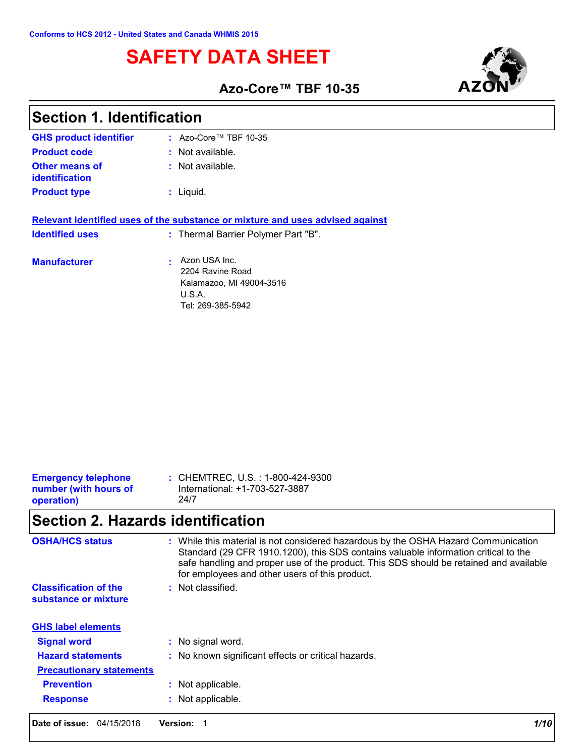# **SAFETY DATA SHEET**



### **Azo-Core™ TBF 10-35**

| <b>Section 1. Identification</b>        |                                                                                                                      |  |
|-----------------------------------------|----------------------------------------------------------------------------------------------------------------------|--|
| <b>GHS product identifier</b>           | : Azo-Core <sup>TM</sup> TBF 10-35                                                                                   |  |
| <b>Product code</b>                     | $:$ Not available.                                                                                                   |  |
| <b>Other means of</b><br>identification | $:$ Not available.                                                                                                   |  |
| <b>Product type</b>                     | $:$ Liquid.                                                                                                          |  |
| <b>Identified uses</b>                  | Relevant identified uses of the substance or mixture and uses advised against<br>: Thermal Barrier Polymer Part "B". |  |
| <b>Manufacturer</b>                     | Azon USA Inc.<br>2204 Ravine Road<br>Kalamazoo, MI 49004-3516                                                        |  |

| <b>Emergency telephone</b> | : CHEMTREC, U.S. : 1-800-424-9300 |
|----------------------------|-----------------------------------|
| number (with hours of      | International: +1-703-527-3887    |
| operation)                 | 24/7                              |

## **Section 2. Hazards identification**

| <b>OSHA/HCS status</b>                               | : While this material is not considered hazardous by the OSHA Hazard Communication<br>Standard (29 CFR 1910.1200), this SDS contains valuable information critical to the<br>safe handling and proper use of the product. This SDS should be retained and available<br>for employees and other users of this product. |
|------------------------------------------------------|-----------------------------------------------------------------------------------------------------------------------------------------------------------------------------------------------------------------------------------------------------------------------------------------------------------------------|
| <b>Classification of the</b><br>substance or mixture | : Not classified.                                                                                                                                                                                                                                                                                                     |
| <b>GHS label elements</b>                            |                                                                                                                                                                                                                                                                                                                       |
| <b>Signal word</b>                                   | : No signal word.                                                                                                                                                                                                                                                                                                     |
| <b>Hazard statements</b>                             | : No known significant effects or critical hazards.                                                                                                                                                                                                                                                                   |
| <b>Precautionary statements</b>                      |                                                                                                                                                                                                                                                                                                                       |
| <b>Prevention</b>                                    | : Not applicable.                                                                                                                                                                                                                                                                                                     |
| <b>Response</b>                                      | Not applicable.                                                                                                                                                                                                                                                                                                       |
| Date of issue: 04/15/2018                            | <b>Version:</b><br>1/10                                                                                                                                                                                                                                                                                               |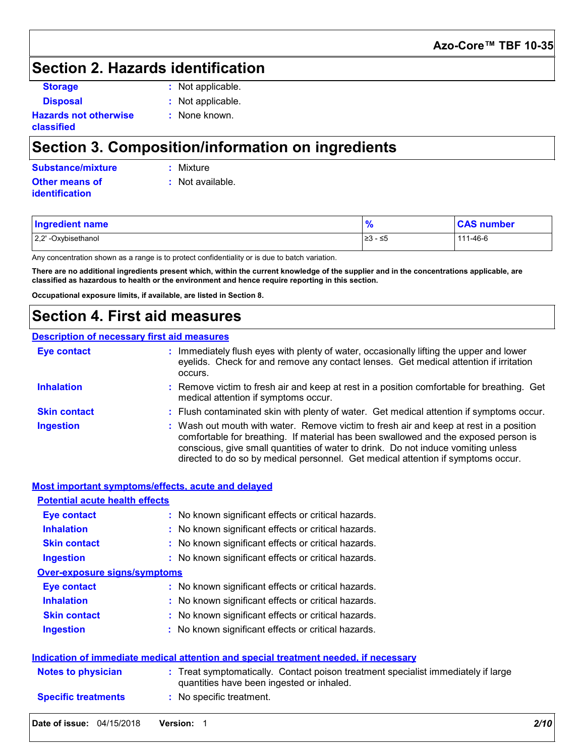### **Section 2. Hazards identification**

- **Disposal :** Not applicable.
- **Storage :** Not applicable.

**:** None known.

**Hazards not otherwise classified**

## **Section 3. Composition/information on ingredients**

| Substance/mixture     | : Mixture          |
|-----------------------|--------------------|
| <b>Other means of</b> | $:$ Not available. |
| <i>identification</i> |                    |

| 23 - ≤5 | <b>Ingredient name</b> | $\mathbf{0}$ | <b>CAS number</b> |
|---------|------------------------|--------------|-------------------|
|         | 2,2' -Oxybisethanol    |              | 111-46-6          |

Any concentration shown as a range is to protect confidentiality or is due to batch variation.

**There are no additional ingredients present which, within the current knowledge of the supplier and in the concentrations applicable, are classified as hazardous to health or the environment and hence require reporting in this section.**

**Occupational exposure limits, if available, are listed in Section 8.**

### **Section 4. First aid measures**

#### **Description of necessary first aid measures**

| <b>Eye contact</b>  | : Immediately flush eyes with plenty of water, occasionally lifting the upper and lower<br>eyelids. Check for and remove any contact lenses. Get medical attention if irritation<br>occurs.                                                                                                                                                            |
|---------------------|--------------------------------------------------------------------------------------------------------------------------------------------------------------------------------------------------------------------------------------------------------------------------------------------------------------------------------------------------------|
| <b>Inhalation</b>   | : Remove victim to fresh air and keep at rest in a position comfortable for breathing. Get<br>medical attention if symptoms occur.                                                                                                                                                                                                                     |
| <b>Skin contact</b> | : Flush contaminated skin with plenty of water. Get medical attention if symptoms occur.                                                                                                                                                                                                                                                               |
| <b>Ingestion</b>    | : Wash out mouth with water. Remove victim to fresh air and keep at rest in a position<br>comfortable for breathing. If material has been swallowed and the exposed person is<br>conscious, give small quantities of water to drink. Do not induce vomiting unless<br>directed to do so by medical personnel. Get medical attention if symptoms occur. |

|                                       | Most important symptoms/effects, acute and delayed                                                                             |  |
|---------------------------------------|--------------------------------------------------------------------------------------------------------------------------------|--|
| <b>Potential acute health effects</b> |                                                                                                                                |  |
| Eye contact                           | : No known significant effects or critical hazards.                                                                            |  |
| <b>Inhalation</b>                     | : No known significant effects or critical hazards.                                                                            |  |
| <b>Skin contact</b>                   | : No known significant effects or critical hazards.                                                                            |  |
| <b>Ingestion</b>                      | : No known significant effects or critical hazards.                                                                            |  |
| <b>Over-exposure signs/symptoms</b>   |                                                                                                                                |  |
| <b>Eye contact</b>                    | : No known significant effects or critical hazards.                                                                            |  |
| <b>Inhalation</b>                     | : No known significant effects or critical hazards.                                                                            |  |
| <b>Skin contact</b>                   | : No known significant effects or critical hazards.                                                                            |  |
| <b>Ingestion</b>                      | : No known significant effects or critical hazards.                                                                            |  |
|                                       | Indication of immediate medical attention and special treatment needed, if necessary                                           |  |
| <b>Notes to physician</b>             | : Treat symptomatically. Contact poison treatment specialist immediately if large<br>quantities have been ingested or inhaled. |  |
| <b>Specific treatments</b>            | : No specific treatment.                                                                                                       |  |
| Date of issue: 04/15/2018             | 2/10<br><b>Version:</b>                                                                                                        |  |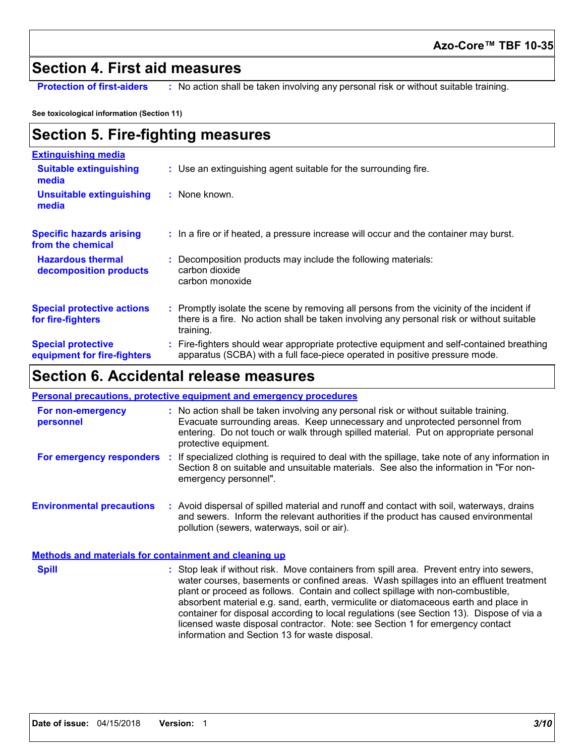### **Section 4. First aid measures**

**Protection of first-aiders** : No action shall be taken involving any personal risk or without suitable training.

**See toxicological information (Section 11)**

## **Section 5. Fire-fighting measures**

| <b>Extinguishing media</b>                               |                                                                                                                                                                                                     |
|----------------------------------------------------------|-----------------------------------------------------------------------------------------------------------------------------------------------------------------------------------------------------|
| <b>Suitable extinguishing</b><br>media                   | : Use an extinguishing agent suitable for the surrounding fire.                                                                                                                                     |
| <b>Unsuitable extinguishing</b><br>media                 | : None known.                                                                                                                                                                                       |
| <b>Specific hazards arising</b><br>from the chemical     | : In a fire or if heated, a pressure increase will occur and the container may burst.                                                                                                               |
| <b>Hazardous thermal</b><br>decomposition products       | Decomposition products may include the following materials:<br>carbon dioxide<br>carbon monoxide                                                                                                    |
| <b>Special protective actions</b><br>for fire-fighters   | : Promptly isolate the scene by removing all persons from the vicinity of the incident if<br>there is a fire. No action shall be taken involving any personal risk or without suitable<br>training. |
| <b>Special protective</b><br>equipment for fire-fighters | : Fire-fighters should wear appropriate protective equipment and self-contained breathing<br>apparatus (SCBA) with a full face-piece operated in positive pressure mode.                            |

## **Section 6. Accidental release measures**

|                                                              | <b>Personal precautions, protective equipment and emergency procedures</b>                                                                                                                                                                                                                                                                                                                                                                                                                                                                                                                 |
|--------------------------------------------------------------|--------------------------------------------------------------------------------------------------------------------------------------------------------------------------------------------------------------------------------------------------------------------------------------------------------------------------------------------------------------------------------------------------------------------------------------------------------------------------------------------------------------------------------------------------------------------------------------------|
| For non-emergency<br>personnel                               | : No action shall be taken involving any personal risk or without suitable training.<br>Evacuate surrounding areas. Keep unnecessary and unprotected personnel from<br>entering. Do not touch or walk through spilled material. Put on appropriate personal<br>protective equipment.                                                                                                                                                                                                                                                                                                       |
| For emergency responders                                     | : If specialized clothing is required to deal with the spillage, take note of any information in<br>Section 8 on suitable and unsuitable materials. See also the information in "For non-<br>emergency personnel".                                                                                                                                                                                                                                                                                                                                                                         |
| <b>Environmental precautions</b>                             | : Avoid dispersal of spilled material and runoff and contact with soil, waterways, drains<br>and sewers. Inform the relevant authorities if the product has caused environmental<br>pollution (sewers, waterways, soil or air).                                                                                                                                                                                                                                                                                                                                                            |
| <b>Methods and materials for containment and cleaning up</b> |                                                                                                                                                                                                                                                                                                                                                                                                                                                                                                                                                                                            |
| <b>Spill</b>                                                 | : Stop leak if without risk. Move containers from spill area. Prevent entry into sewers,<br>water courses, basements or confined areas. Wash spillages into an effluent treatment<br>plant or proceed as follows. Contain and collect spillage with non-combustible,<br>absorbent material e.g. sand, earth, vermiculite or diatomaceous earth and place in<br>container for disposal according to local regulations (see Section 13). Dispose of via a<br>licensed waste disposal contractor. Note: see Section 1 for emergency contact<br>information and Section 13 for waste disposal. |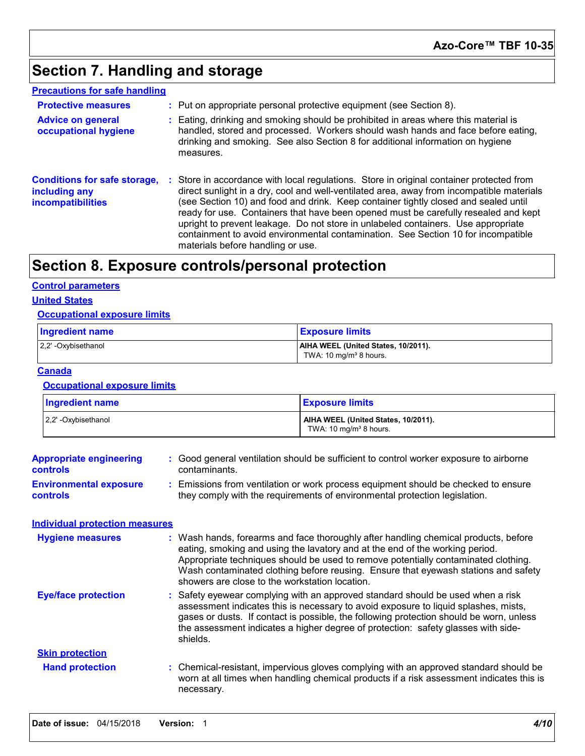## **Section 7. Handling and storage**

| <b>Precautions for safe handling</b>                                             |                                                                                                                                                                                                                                                                                                                                                                                                                                                                                                                                                                                    |
|----------------------------------------------------------------------------------|------------------------------------------------------------------------------------------------------------------------------------------------------------------------------------------------------------------------------------------------------------------------------------------------------------------------------------------------------------------------------------------------------------------------------------------------------------------------------------------------------------------------------------------------------------------------------------|
| <b>Protective measures</b>                                                       | : Put on appropriate personal protective equipment (see Section 8).                                                                                                                                                                                                                                                                                                                                                                                                                                                                                                                |
| <b>Advice on general</b><br>occupational hygiene                                 | Eating, drinking and smoking should be prohibited in areas where this material is<br>handled, stored and processed. Workers should wash hands and face before eating,<br>drinking and smoking. See also Section 8 for additional information on hygiene<br>measures.                                                                                                                                                                                                                                                                                                               |
| <b>Conditions for safe storage,</b><br>including any<br><b>incompatibilities</b> | : Store in accordance with local regulations. Store in original container protected from<br>direct sunlight in a dry, cool and well-ventilated area, away from incompatible materials<br>(see Section 10) and food and drink. Keep container tightly closed and sealed until<br>ready for use. Containers that have been opened must be carefully resealed and kept<br>upright to prevent leakage. Do not store in unlabeled containers. Use appropriate<br>containment to avoid environmental contamination. See Section 10 for incompatible<br>materials before handling or use. |

## **Section 8. Exposure controls/personal protection**

#### **Control parameters**

#### **United States**

#### **Occupational exposure limits**

| <b>Ingredient name</b> | <u>  Exposure limits</u>            |
|------------------------|-------------------------------------|
| 2.2' -Oxybisethanol    | AIHA WEEL (United States, 10/2011). |
|                        | TWA: 10 mg/m <sup>3</sup> 8 hours.  |

#### **Canada**

#### **Occupational exposure limits**

| Ingredient name     | <b>Exposure limits</b>                                                    |  |  |
|---------------------|---------------------------------------------------------------------------|--|--|
| 2,2' -Oxybisethanol | AIHA WEEL (United States, 10/2011).<br>TWA: 10 mg/m <sup>3</sup> 8 hours. |  |  |

| <b>Appropriate engineering</b><br>controls       | : Good general ventilation should be sufficient to control worker exposure to airborne<br>contaminants.                                                                                                                                                                                                                                                                                           |  |
|--------------------------------------------------|---------------------------------------------------------------------------------------------------------------------------------------------------------------------------------------------------------------------------------------------------------------------------------------------------------------------------------------------------------------------------------------------------|--|
| <b>Environmental exposure</b><br><b>controls</b> | Emissions from ventilation or work process equipment should be checked to ensure<br>they comply with the requirements of environmental protection legislation.                                                                                                                                                                                                                                    |  |
| <b>Individual protection measures</b>            |                                                                                                                                                                                                                                                                                                                                                                                                   |  |
| <b>Hygiene measures</b>                          | : Wash hands, forearms and face thoroughly after handling chemical products, before<br>eating, smoking and using the lavatory and at the end of the working period.<br>Appropriate techniques should be used to remove potentially contaminated clothing.<br>Wash contaminated clothing before reusing. Ensure that eyewash stations and safety<br>showers are close to the workstation location. |  |
| <b>Eye/face protection</b>                       | Safety eyewear complying with an approved standard should be used when a risk<br>assessment indicates this is necessary to avoid exposure to liquid splashes, mists,<br>gases or dusts. If contact is possible, the following protection should be worn, unless<br>the assessment indicates a higher degree of protection: safety glasses with side-<br>shields.                                  |  |
| <b>Skin protection</b>                           |                                                                                                                                                                                                                                                                                                                                                                                                   |  |
| <b>Hand protection</b>                           | : Chemical-resistant, impervious gloves complying with an approved standard should be<br>worn at all times when handling chemical products if a risk assessment indicates this is<br>necessary.                                                                                                                                                                                                   |  |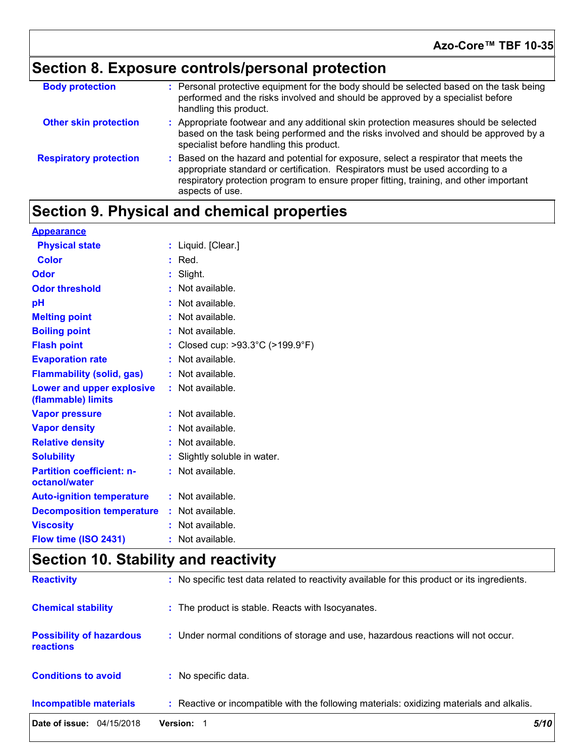# **Section 8. Exposure controls/personal protection**

| <b>Body protection</b>        | : Personal protective equipment for the body should be selected based on the task being<br>performed and the risks involved and should be approved by a specialist before<br>handling this product.                                                                                 |
|-------------------------------|-------------------------------------------------------------------------------------------------------------------------------------------------------------------------------------------------------------------------------------------------------------------------------------|
| <b>Other skin protection</b>  | : Appropriate footwear and any additional skin protection measures should be selected<br>based on the task being performed and the risks involved and should be approved by a<br>specialist before handling this product.                                                           |
| <b>Respiratory protection</b> | : Based on the hazard and potential for exposure, select a respirator that meets the<br>appropriate standard or certification. Respirators must be used according to a<br>respiratory protection program to ensure proper fitting, training, and other important<br>aspects of use. |

## **Section 9. Physical and chemical properties**

| <b>Appearance</b>                                 |    |                                                       |
|---------------------------------------------------|----|-------------------------------------------------------|
| <b>Physical state</b>                             |    | : Liquid. [Clear.]                                    |
| <b>Color</b>                                      |    | $:$ Red.                                              |
| Odor                                              |    | : Slight.                                             |
| <b>Odor threshold</b>                             |    | : Not available.                                      |
| pH                                                | t. | Not available.                                        |
| <b>Melting point</b>                              |    | : Not available.                                      |
| <b>Boiling point</b>                              |    | : Not available.                                      |
| <b>Flash point</b>                                |    | : Closed cup: $>93.3^{\circ}$ C ( $>199.9^{\circ}$ F) |
| <b>Evaporation rate</b>                           |    | : Not available.                                      |
| <b>Flammability (solid, gas)</b>                  |    | : Not available.                                      |
| Lower and upper explosive<br>(flammable) limits   |    | : Not available.                                      |
| <b>Vapor pressure</b>                             |    | : Not available.                                      |
| <b>Vapor density</b>                              | ÷. | Not available.                                        |
| <b>Relative density</b>                           |    | : Not available.                                      |
| <b>Solubility</b>                                 |    | Slightly soluble in water.                            |
| <b>Partition coefficient: n-</b><br>octanol/water |    | : Not available.                                      |
| <b>Auto-ignition temperature</b>                  |    | : Not available.                                      |
| <b>Decomposition temperature</b>                  |    | : Not available.                                      |
| <b>Viscosity</b>                                  |    | : Not available.                                      |
| Flow time (ISO 2431)                              |    | Not available.                                        |

## **Section 10. Stability and reactivity**

| Date of issue: 04/15/2018                           | Version: 1                                                                                   | 5/10 |
|-----------------------------------------------------|----------------------------------------------------------------------------------------------|------|
| <b>Incompatible materials</b>                       | : Reactive or incompatible with the following materials: oxidizing materials and alkalis.    |      |
| <b>Conditions to avoid</b>                          | : No specific data.                                                                          |      |
| <b>Possibility of hazardous</b><br><b>reactions</b> | : Under normal conditions of storage and use, hazardous reactions will not occur.            |      |
| <b>Chemical stability</b>                           | : The product is stable. Reacts with Isocyanates.                                            |      |
| <b>Reactivity</b>                                   | : No specific test data related to reactivity available for this product or its ingredients. |      |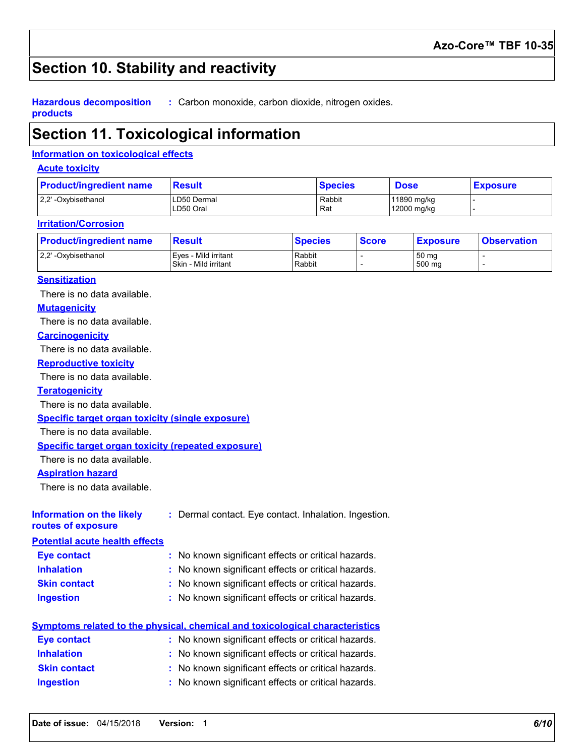## **Section 10. Stability and reactivity**

**Hazardous decomposition products :** Carbon monoxide, carbon dioxide, nitrogen oxides.

## **Section 11. Toxicological information**

#### **Information on toxicological effects**

#### **Acute toxicity**

| <b>Product/ingredient name</b> | <b>Result</b>            | <b>Species</b> | <b>Dose</b>                | <b>Exposure</b> |
|--------------------------------|--------------------------|----------------|----------------------------|-----------------|
| 2.2' -Oxybisethanol            | LD50 Dermal<br>LD50 Oral | Rabbit<br>Rat  | 11890 mg/kg<br>12000 mg/kg |                 |

#### **Irritation/Corrosion**

| <b>Product/ingredient name</b> | <b>Result</b>                                | <b>Species</b>   | <b>Score</b> | <b>Exposure</b> | <b>Observation</b> |
|--------------------------------|----------------------------------------------|------------------|--------------|-----------------|--------------------|
| 2.2' -Oxybisethanol            | Eves - Mild irritant<br>Skin - Mild irritant | Rabbit<br>Rabbit |              | 50 mg<br>500 mg |                    |

#### **Sensitization**

There is no data available.

#### **Mutagenicity**

There is no data available.

#### **Carcinogenicity**

There is no data available.

#### **Reproductive toxicity**

There is no data available.

#### **Teratogenicity**

There is no data available.

#### **Specific target organ toxicity (single exposure)**

There is no data available.

#### **Specific target organ toxicity (repeated exposure)**

There is no data available.

#### **Aspiration hazard**

There is no data available.

| Information on the likely             | : Dermal contact. Eye contact. Inhalation. Ingestion. |
|---------------------------------------|-------------------------------------------------------|
| routes of exposure                    |                                                       |
| <b>Potential acute health effects</b> |                                                       |

| <b>Eye contact</b>  | : No known significant effects or critical hazards. |
|---------------------|-----------------------------------------------------|
| <b>Inhalation</b>   | : No known significant effects or critical hazards. |
| <b>Skin contact</b> | : No known significant effects or critical hazards. |
| <b>Ingestion</b>    | : No known significant effects or critical hazards. |

#### **Symptoms related to the physical, chemical and toxicological characteristics Eye contact :** No known significant effects or critical hazards.

| <b>Inhalation</b>   | : No known significant effects or critical hazards. |
|---------------------|-----------------------------------------------------|
| <b>Skin contact</b> | : No known significant effects or critical hazards. |
| <b>Ingestion</b>    | : No known significant effects or critical hazards. |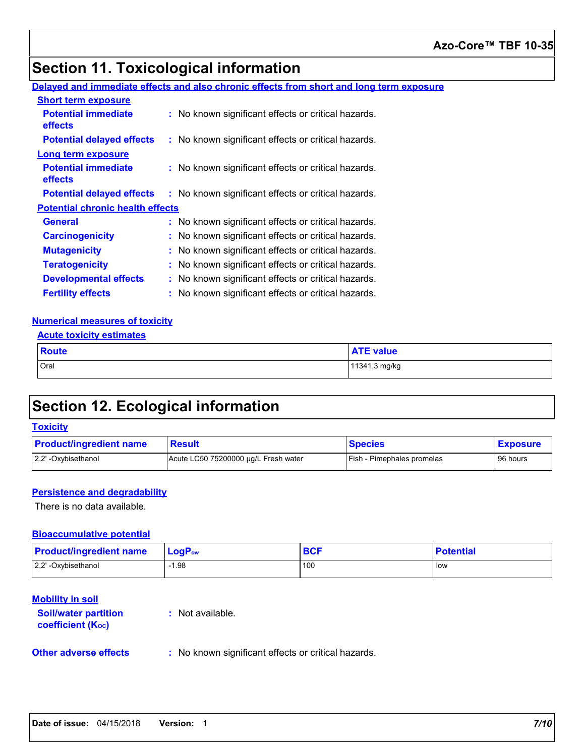## **Section 11. Toxicological information**

#### **Delayed and immediate effects and also chronic effects from short and long term exposure**

| <b>Short term exposure</b>              |                                                     |  |
|-----------------------------------------|-----------------------------------------------------|--|
| <b>Potential immediate</b><br>effects   | : No known significant effects or critical hazards. |  |
| <b>Potential delayed effects</b>        | : No known significant effects or critical hazards. |  |
| Long term exposure                      |                                                     |  |
| <b>Potential immediate</b><br>effects   | : No known significant effects or critical hazards. |  |
| <b>Potential delayed effects</b>        | : No known significant effects or critical hazards. |  |
| <b>Potential chronic health effects</b> |                                                     |  |
| <b>General</b>                          | : No known significant effects or critical hazards. |  |
| <b>Carcinogenicity</b>                  | : No known significant effects or critical hazards. |  |
| <b>Mutagenicity</b>                     | No known significant effects or critical hazards.   |  |
| <b>Teratogenicity</b>                   | : No known significant effects or critical hazards. |  |
| <b>Developmental effects</b>            | No known significant effects or critical hazards.   |  |
| <b>Fertility effects</b>                | No known significant effects or critical hazards.   |  |

#### **Numerical measures of toxicity**

| <b>Route</b> | <b>ATE value</b> |
|--------------|------------------|
| Oral         | 11341.3 mg/kg    |

## **Section 12. Ecological information**

#### **Toxicity**

| <b>Product/ingredient name</b> | <b>Result</b>                        | <b>Species</b>                    | <b>Exposure</b> |
|--------------------------------|--------------------------------------|-----------------------------------|-----------------|
| 2.2' -Oxybisethanol            | Acute LC50 75200000 µg/L Fresh water | <b>Fish - Pimephales promelas</b> | 96 hours        |

#### **Persistence and degradability**

There is no data available.

#### **Bioaccumulative potential**

| <b>Product/ingredient name</b> | <b>LogP</b> <sub>ow</sub> | DV. | <b>Potential</b> |
|--------------------------------|---------------------------|-----|------------------|
| 2,2' -Oxybisethanol            | $-1.98$                   | 100 | low              |

#### **Mobility in soil**

| <b>Soil/water partition</b><br><b>coefficient (Koc)</b> | : Not available. |
|---------------------------------------------------------|------------------|
|                                                         |                  |

#### **Other adverse effects** : No known significant effects or critical hazards.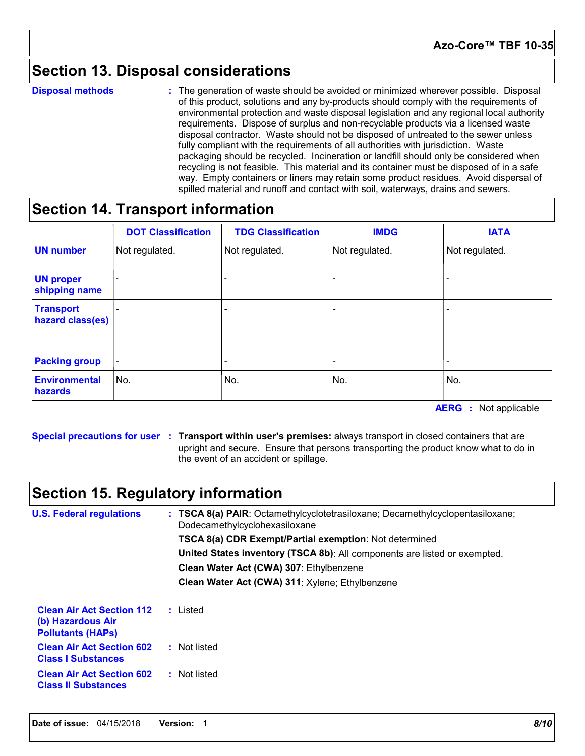## **Section 13. Disposal considerations**

**Disposal methods :**

The generation of waste should be avoided or minimized wherever possible. Disposal of this product, solutions and any by-products should comply with the requirements of environmental protection and waste disposal legislation and any regional local authority requirements. Dispose of surplus and non-recyclable products via a licensed waste disposal contractor. Waste should not be disposed of untreated to the sewer unless fully compliant with the requirements of all authorities with jurisdiction. Waste packaging should be recycled. Incineration or landfill should only be considered when recycling is not feasible. This material and its container must be disposed of in a safe way. Empty containers or liners may retain some product residues. Avoid dispersal of spilled material and runoff and contact with soil, waterways, drains and sewers.

### **Section 14. Transport information**

|                                      | <b>DOT Classification</b> | <b>TDG Classification</b> | <b>IMDG</b>    | <b>IATA</b>    |
|--------------------------------------|---------------------------|---------------------------|----------------|----------------|
| <b>UN number</b>                     | Not regulated.            | Not regulated.            | Not regulated. | Not regulated. |
| <b>UN proper</b><br>shipping name    |                           |                           |                |                |
| <b>Transport</b><br>hazard class(es) |                           |                           |                |                |
| <b>Packing group</b>                 |                           |                           |                |                |
| <b>Environmental</b><br>hazards      | No.                       | No.                       | No.            | No.            |

**AERG :** Not applicable

**Special precautions for user Transport within user's premises:** always transport in closed containers that are **:** upright and secure. Ensure that persons transporting the product know what to do in the event of an accident or spillage.

### **Section 15. Regulatory information**

**U.S. Federal regulations Clean Water Act (CWA) 307**: Ethylbenzene **Clean Water Act (CWA) 311**: Xylene; Ethylbenzene **: TSCA 8(a) PAIR**: Octamethylcyclotetrasiloxane; Decamethylcyclopentasiloxane; **Clean Air Act Section 112 (b) Hazardous Air Pollutants (HAPs) :** Listed **Clean Air Act Section 602 Class I Substances :** Not listed **Clean Air Act Section 602 Class II Substances :** Not listed Dodecamethylcyclohexasiloxane **TSCA 8(a) CDR Exempt/Partial exemption**: Not determined **United States inventory (TSCA 8b)**: All components are listed or exempted.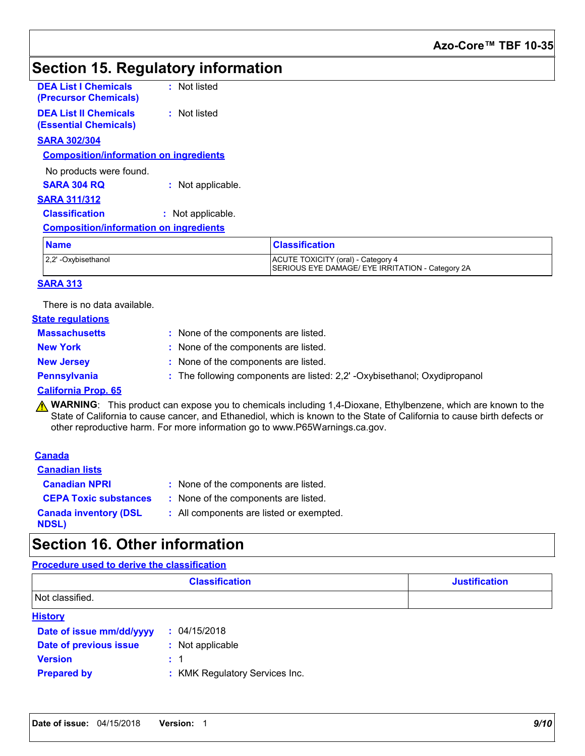## **Section 15. Regulatory information**

| <b>DEA List I Chemicals</b><br>(Precursor Chemicals)         | : Not listed      |                       |
|--------------------------------------------------------------|-------------------|-----------------------|
| <b>DEA List II Chemicals</b><br><b>(Essential Chemicals)</b> | : Not listed      |                       |
| <b>SARA 302/304</b>                                          |                   |                       |
| <b>Composition/information on ingredients</b>                |                   |                       |
| No products were found.                                      |                   |                       |
| <b>SARA 304 RQ</b>                                           | : Not applicable. |                       |
| <b>SARA 311/312</b>                                          |                   |                       |
| <b>Classification</b>                                        | : Not applicable. |                       |
| <b>Composition/information on ingredients</b>                |                   |                       |
| <b>Name</b>                                                  |                   | <b>Classification</b> |

| <b>Name</b>         | <b>Classification</b>                                                                  |  |
|---------------------|----------------------------------------------------------------------------------------|--|
| 2,2' -Oxybisethanol | ACUTE TOXICITY (oral) - Category 4<br>SERIOUS EYE DAMAGE/ EYE IRRITATION - Category 2A |  |

#### **SARA 313**

There is no data available.

| <b>State regulations</b> |                                                                           |
|--------------------------|---------------------------------------------------------------------------|
| <b>Massachusetts</b>     | : None of the components are listed.                                      |
| <b>New York</b>          | : None of the components are listed.                                      |
| <b>New Jersey</b>        | : None of the components are listed.                                      |
| Pennsylvania             | : The following components are listed: 2,2' -Oxybisethanol; Oxydipropanol |
| Colifornia Dron CE       |                                                                           |

#### **California Prop. 65**

**A WARNING**: This product can expose you to chemicals including 1,4-Dioxane, Ethylbenzene, which are known to the State of California to cause cancer, and Ethanediol, which is known to the State of California to cause birth defects or other reproductive harm. For more information go to www.P65Warnings.ca.gov.

| <b>Canada</b>                                |                                          |
|----------------------------------------------|------------------------------------------|
| <b>Canadian lists</b>                        |                                          |
| <b>Canadian NPRI</b>                         | : None of the components are listed.     |
| <b>CEPA Toxic substances</b>                 | : None of the components are listed.     |
| <b>Canada inventory (DSL</b><br><b>NDSL)</b> | : All components are listed or exempted. |

### **Section 16. Other information**

#### **Procedure used to derive the classification**

|                          | <b>Classification</b>          | <b>Justification</b> |
|--------------------------|--------------------------------|----------------------|
| Not classified.          |                                |                      |
| <b>History</b>           |                                |                      |
| Date of issue mm/dd/yyyy | : 04/15/2018                   |                      |
| Date of previous issue   | : Not applicable               |                      |
| <b>Version</b>           | $\therefore$ 1                 |                      |
| <b>Prepared by</b>       | : KMK Regulatory Services Inc. |                      |